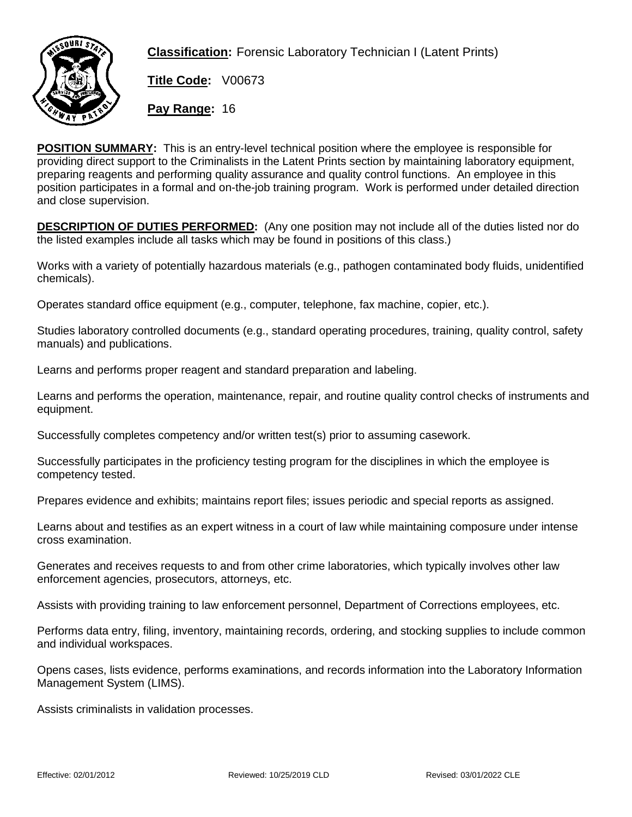

**Classification:** Forensic Laboratory Technician I (Latent Prints)

**Title Code:** V00673

**Pay Range:** 16

**POSITION SUMMARY:** This is an entry-level technical position where the employee is responsible for providing direct support to the Criminalists in the Latent Prints section by maintaining laboratory equipment, preparing reagents and performing quality assurance and quality control functions. An employee in this position participates in a formal and on-the-job training program. Work is performed under detailed direction and close supervision.

**DESCRIPTION OF DUTIES PERFORMED:** (Any one position may not include all of the duties listed nor do the listed examples include all tasks which may be found in positions of this class.)

Works with a variety of potentially hazardous materials (e.g., pathogen contaminated body fluids, unidentified chemicals).

Operates standard office equipment (e.g., computer, telephone, fax machine, copier, etc.).

Studies laboratory controlled documents (e.g., standard operating procedures, training, quality control, safety manuals) and publications.

Learns and performs proper reagent and standard preparation and labeling.

Learns and performs the operation, maintenance, repair, and routine quality control checks of instruments and equipment.

Successfully completes competency and/or written test(s) prior to assuming casework.

Successfully participates in the proficiency testing program for the disciplines in which the employee is competency tested.

Prepares evidence and exhibits; maintains report files; issues periodic and special reports as assigned.

Learns about and testifies as an expert witness in a court of law while maintaining composure under intense cross examination.

Generates and receives requests to and from other crime laboratories, which typically involves other law enforcement agencies, prosecutors, attorneys, etc.

Assists with providing training to law enforcement personnel, Department of Corrections employees, etc.

Performs data entry, filing, inventory, maintaining records, ordering, and stocking supplies to include common and individual workspaces.

Opens cases, lists evidence, performs examinations, and records information into the Laboratory Information Management System (LIMS).

Assists criminalists in validation processes.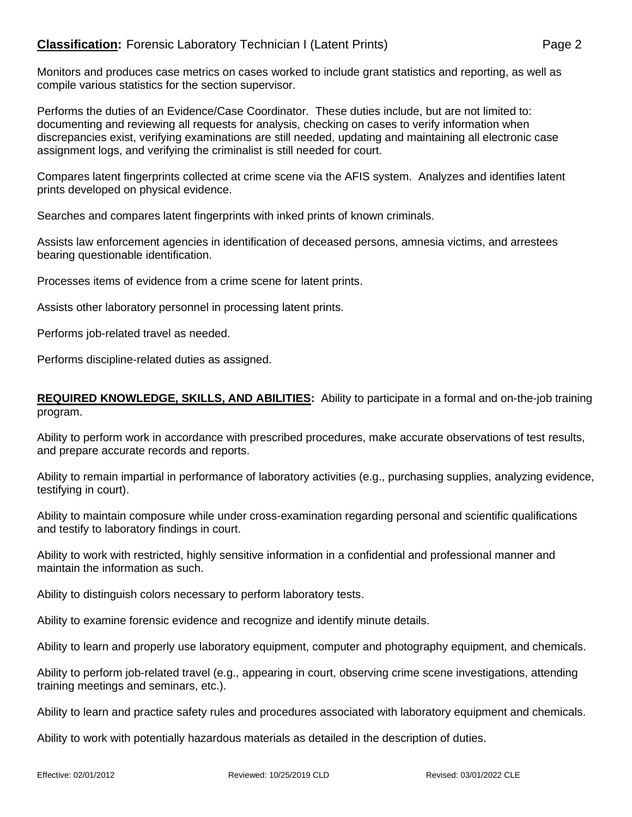Monitors and produces case metrics on cases worked to include grant statistics and reporting, as well as compile various statistics for the section supervisor.

Performs the duties of an Evidence/Case Coordinator. These duties include, but are not limited to: documenting and reviewing all requests for analysis, checking on cases to verify information when discrepancies exist, verifying examinations are still needed, updating and maintaining all electronic case assignment logs, and verifying the criminalist is still needed for court.

Compares latent fingerprints collected at crime scene via the AFIS system. Analyzes and identifies latent prints developed on physical evidence.

Searches and compares latent fingerprints with inked prints of known criminals.

Assists law enforcement agencies in identification of deceased persons, amnesia victims, and arrestees bearing questionable identification.

Processes items of evidence from a crime scene for latent prints.

Assists other laboratory personnel in processing latent prints.

Performs job-related travel as needed.

Performs discipline-related duties as assigned.

## **REQUIRED KNOWLEDGE, SKILLS, AND ABILITIES:** Ability to participate in a formal and on-the-job training program.

Ability to perform work in accordance with prescribed procedures, make accurate observations of test results, and prepare accurate records and reports.

Ability to remain impartial in performance of laboratory activities (e.g., purchasing supplies, analyzing evidence, testifying in court).

Ability to maintain composure while under cross-examination regarding personal and scientific qualifications and testify to laboratory findings in court.

Ability to work with restricted, highly sensitive information in a confidential and professional manner and maintain the information as such.

Ability to distinguish colors necessary to perform laboratory tests.

Ability to examine forensic evidence and recognize and identify minute details.

Ability to learn and properly use laboratory equipment, computer and photography equipment, and chemicals.

Ability to perform job-related travel (e.g., appearing in court, observing crime scene investigations, attending training meetings and seminars, etc.).

Ability to learn and practice safety rules and procedures associated with laboratory equipment and chemicals.

Ability to work with potentially hazardous materials as detailed in the description of duties.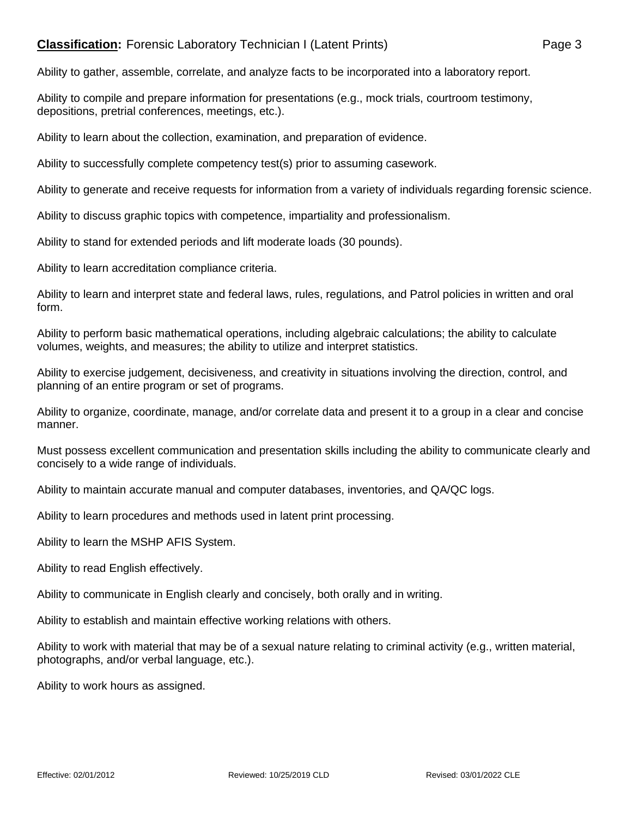## **Classification:** Forensic Laboratory Technician I (Latent Prints) Page 3

Ability to gather, assemble, correlate, and analyze facts to be incorporated into a laboratory report.

Ability to compile and prepare information for presentations (e.g., mock trials, courtroom testimony, depositions, pretrial conferences, meetings, etc.).

Ability to learn about the collection, examination, and preparation of evidence.

Ability to successfully complete competency test(s) prior to assuming casework.

Ability to generate and receive requests for information from a variety of individuals regarding forensic science.

Ability to discuss graphic topics with competence, impartiality and professionalism.

Ability to stand for extended periods and lift moderate loads (30 pounds).

Ability to learn accreditation compliance criteria.

Ability to learn and interpret state and federal laws, rules, regulations, and Patrol policies in written and oral form.

Ability to perform basic mathematical operations, including algebraic calculations; the ability to calculate volumes, weights, and measures; the ability to utilize and interpret statistics.

Ability to exercise judgement, decisiveness, and creativity in situations involving the direction, control, and planning of an entire program or set of programs.

Ability to organize, coordinate, manage, and/or correlate data and present it to a group in a clear and concise manner.

Must possess excellent communication and presentation skills including the ability to communicate clearly and concisely to a wide range of individuals.

Ability to maintain accurate manual and computer databases, inventories, and QA/QC logs.

Ability to learn procedures and methods used in latent print processing.

Ability to learn the MSHP AFIS System.

Ability to read English effectively.

Ability to communicate in English clearly and concisely, both orally and in writing.

Ability to establish and maintain effective working relations with others.

Ability to work with material that may be of a sexual nature relating to criminal activity (e.g., written material, photographs, and/or verbal language, etc.).

Ability to work hours as assigned.